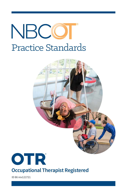# NBCC Practice Standards





## **Occupational Therapist Registered**

ID 86 rev121721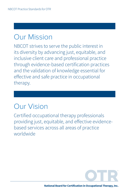## Our Mission

NBCOT strives to serve the public interest in its diversity by advancing just, equitable, and inclusive client care and professional practice through evidence-based certification practices and the validation of knowledge essential for effective and safe practice in occupational therapy.

## Our Vision

Certified occupational therapy professionals providing just, equitable, and effective evidencebased services across all areas of practice worldwide

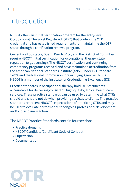## Introduction

NBCOT offers an initial certification program for the entry-level Occupational Therapist Registered (OTR®) that confers the OTR credential and has established requirements for maintaining the OTR status through a certification renewal program.

Currently all 50 states, Guam, Puerto Rico, and the District of Columbia require NBCOT initial certification for occupational therapy state regulation (e.g., licensing). The NBCOT certification and continuing competency programs received and have maintained accreditation from the American National Standards Institute (ANSI) under ISO Standard 17024 and the National Commission for Certifying Agencies (NCCA). NBCOT is a member of the Institute for Credentialing Excellence (ICE).

Practice standards in occupational therapy hold OTR certificants accountable for delivering consistent, high-quality, ethical health care services. These practice standards can be used to determine what OTRs should and should not do when providing services to clients. The practice standards represent NBCOT's expectations of practicing OTRs and may be used to evaluate performance for ongoing professional development and/or disciplinary action.

The NBCOT Practice Standards contain four sections:

- Practice domains
- NBCOT Candidate/Certificant Code of Conduct
- Supervision
- Documentation

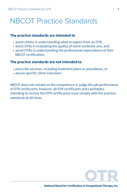## NBCOT Practice Standards

#### **The practice standards are intended to**

- assist clients in understanding what to expect from an OTR,
- assist OTRs in evaluating the quality of client-centered care, and
- assist OTRs in understanding the professional expectations of their NBCOT certification.

#### **The practice standards are not intended to**

- prescribe services, including treatment plans or procedures, or
- assure specific client outcomes.

NBCOT does not remark on the competence or judge the job performance of OTR certificants; however, all OTR certificants and candidates intending to receive the OTR certification must comply with the practice standards at all times.

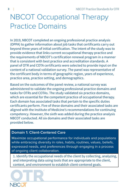## NBCOT Occupational Therapy Practice Domains

In 2019, NBCOT completed an ongoing professional practice analysis (OPPA) to gather information about job tasks that certificants carry out beyond three years of initial certification. The intent of the study was to provide evidence that links current occupational therapy practice and the requirements of NBCOT's certification renewal program in a manner that is consistent with best practice and accreditation standards. A panel of OTR and COTA certificants were selected to provide input on the content of a national validation survey. The panel was representative of the certificant body in terms of geographic region, years of experience, practice area, practice setting, and demographics.

Based on the outcomes of the panel review, a national survey was administered to validate the ongoing professional practice domains and tasks for OTRs and COTAs. The study validated six practice domains, which are essential for the competent practice of occupational therapy. Each domain has associated tasks that pertain to the specific duties certificants perform. Five of these domains and their associated tasks are aligned with the Institute of Medicine's recommendations for continuing competency. However, the sixth was added during the practice analysis NBCOT conducted. All six domains and their associated tasks are provided below.

### **Domain 1: Client-Centered Care**

Maximize occupational performance for individuals and populations while embracing diversity in roles, habits, routines, values, beliefs, expressed needs, and preferences through engaging in a process of ongoing client collaboration.

1. Identify the occupational needs of the client by collecting, analyzing, and interpreting data using tools that are appropriate to the client, context, and environment to establish client-centered goals.

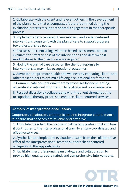2. Collaborate with the client and relevant others in the development of the plan of care that encompasses factors identified during the evaluation process to support optimal engagement in the therapeutic process.

3. Implement client-centered, theory-driven, and evidence-based interventions consistent with the plan of care to support progress toward established goals.

4. Reassess the client using evidence-based assessment tools to evaluate the effectiveness of the interventions and determine if modifications to the plan of care are required.

5. Modify the plan of care based on the client's response to interventions to maximize occupational outcomes.

6. Advocate and promote health and wellness by educating clients and other stakeholders to optimize lifelong occupational performance.

7. Communicate occupational therapy processes by documenting accurate and relevant information to facilitate and coordinate care.

8. Respect diversity by collaborating with the client throughout the occupational therapy process to enhance client-centered services.

#### **Domain 2: Interprofessional Teams**

Cooperate, collaborate, communicate, and integrate care in teams to ensure that services are reliable and effective.

1. Articulate the role of the occupational therapy professional and how it contributes to the interprofessional team to ensure coordinated and effective services.

2. Synthesize and implement evaluation results from the collaborative effort of the interprofessional team to support client-centered occupational therapy outcomes.

3. Facilitate interprofessional team dialogue and collaboration to provide high quality, coordinated, and comprehensive interventions.

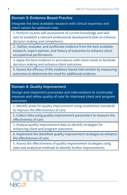#### **Domain 3: Evidence-Based Practice**

Integrate the best available research with clinical expertise and client values for optimum care.

1. Perform routine self-assessment of current knowledge and skill sets to establish a relevant professional development plan to enhance decision-making and competence.

2. Gather, evaluate, and synthesize evidence from the best available research, expert opinion, and history of outcomes to enhance client occupational performance.

3. Apply the best evidence in accordance with client needs to facilitate decision-making and enhance client outcomes.

4. Assess the efficacy of the evidence-based intervention by measuring outcomes to determine the need for additional evidence.

#### **Domain 4: Quality Improvement**

Design and implement processes and interventions to continually measure and refine quality of care for improved client and program outcomes.

1. Identify areas for quality improvement using established standards to improve the effectiveness of care.

2. Collect data using quality improvement parameters to measure the effectiveness of care.

3. Analyze quality improvement data to identify strategies for enhancing client and program outcomes.

4. Implement the identified quality improvement strategies to enhance the effectiveness of care.

5. Assess the effectiveness of quality improvement strategies using data and analytical methods to identify further improvements.

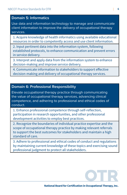#### NBCOT Practice Standards for OTR | **6**

#### **Domain 5: Informatics**

Use data and information technology to manage and communicate client information to improve the delivery of occupational therapy services.

1. Acquire knowledge of health informatics using available educational resources in order to competently access and use client information.

2. Input pertinent data into the information system, following established protocols, to enhance communication and prevent errors in service delivery.

3. Interpret and apply data from the information system to enhance decision-making and improve service delivery.

4. Communicate information to stakeholders to support effective decision-making and delivery of occupational therapy services.

#### **Domain 6: Professional Responsibility**

Elevate occupational therapy practice through communicating the value of occupational therapy services, advancing clinical competence, and adhering to professional and ethical codes of conduct.

1. Enhance professional competence through self-reflection, participation in research opportunities, and other professional development activities to employ best practices.

2. Recognize the boundaries of individual practice expertise and the scope of occupational therapy practice by making relevant referrals to support the best outcomes for stakeholders and maintain a high standard of care.

3. Adhere to professional and ethical codes of conduct and regulations by maintaining current knowledge of these topics and exercising sound professional judgment to protect all stakeholders.

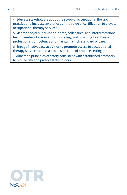4. Educate stakeholders about the scope of occupational therapy practice and increase awareness of the value of certification to elevate occupational therapy services.

5. Mentor and/or supervise students, colleagues, and interprofessional team members by educating, modeling, and coaching to enhance professional competence and maintain a high standard of care.

6. Engage in advocacy activities to promote access to occupational therapy services across a broad spectrum of practice settings.

7. Adhere to principles of safety consistent with established protocols to reduce risk and protect stakeholders.

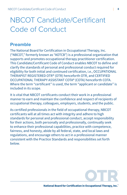## NBCOT Candidate/Certificant Code of Conduct

### **Preamble**

The National Board for Certification in Occupational Therapy, Inc. ("NBCOT," formerly known as "AOTCB") is a professional organization that supports and promotes occupational therapy practitioner certification. This Candidate/Certificant Code of Conduct enables NBCOT to define and clarify the standards of personal and professional conduct required for eligibility for both initial and continued certification, i.e., OCCUPATIONAL THERAPIST REGISTERED OTR® (OTR) henceforth OTR, and CERTIFIED OCCUPATIONAL THERAPY ASSISTANT COTA® (COTA) henceforth COTA. Where the term "certificant" is used, the term "applicant or candidate" is included in its scope.

It is vital that NBCOT certificants conduct their work in a professional manner to earn and maintain the confidence and respect of recipients of occupational therapy, colleagues, employers, students, and the public.

As certified professionals in the field of occupational therapy, NBCOT certificants will at all times act with integrity and adhere to high standards for personal and professional conduct, accept responsibility for their actions, both personally and professionally, continually seek to enhance their professional capabilities, practice with competence, fairness, and honesty, abide by all federal, state, and local laws and regulations, and encourage others to act in a professional manner consistent with the Practice Standards and responsibilities set forth below.

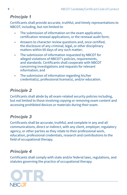## *Principle 1*

Certificants shall provide accurate, truthful, and timely representations to NBCOT, including, but not limited to:

- The submission of information on the exam application, certification renewal applications, or the renewal audit form;
- Answers to character review questions and, once certified, the disclosure of any criminal, legal, or other disciplinary matters within 60 days of any such matter;
- The submission of information requested by NBCOT for alleged violations of NBCOT's policies, requirements, and standards. Certificants shall cooperate with NBCOT concerning investigations and requests for relevant information; and
- The submission of information regarding his/her credential(s), professional license(s), and/or education.

## *Principle 2*

Certificants shall abide by all exam-related security policies including, but not limited to those involving copying or removing exam content and accessing prohibited devices or materials during their exam.

### *Principle 3*

Certificants shall be accurate, truthful, and complete in any and all communications, direct or indirect, with any client, employer, regulatory agency, or other parties as they relate to their professional work, education, professional credentials, research and contributions to the field of occupational therapy.

## *Principle 4*

Certificants shall comply with state and/or federal laws, regulations, and statutes governing the practice of occupational therapy.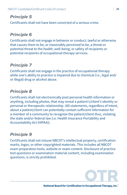### *Principle 5*

Certificants shall not have been convicted of a serious crime.

### *Principle 6*

Certificants shall not engage in behavior or conduct, lawful or otherwise that causes them to be, or reasonably perceived to be, a threat or potential threat to the health, well-being, or safety of recipients or potential recipients of occupational therapy services.

## *Principle 7*

Certificants shall not engage in the practice of occupational therapy while one's ability to practice is impaired due to chemical (i.e., legal and/ or illegal) drug or alcohol abuse.

### *Principle 8*

Certificants shall not electronically post personal health information or anything, including photos, that may reveal a patient's/client's identity or personal or therapeutic relationship. (All statements, regardless of intent, about a patient/client can potentially contain sufficient information for a member of a community to recognize the patient/client thus, violating the state and/or federal law (i.e. Health Insurance Portability and Accountability Act (HIPAA)).

### *Principle 9*

Certificants shall not misuse NBCOT's intellectual property, certification marks, logos, or other copyrighted materials. This includes all NBCOT exam preparation tools, website or exam content. Disclosure of practice test questions or examination material content, including examination questions, is strictly prohibited.

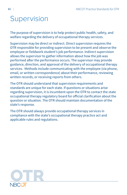## Supervision

The purpose of supervision is to help protect public health, safety, and welfare regarding the delivery of occupational therapy services.

Supervision may be direct or indirect. Direct supervision requires the OTR responsible for providing supervision to be present and observe the employee or fieldwork student's job performance. Indirect supervision allows the supervisor to gather information about how the job was performed after the performance occurs. The supervisor may provide guidance, direction, and approval of the delivery of occupational therapy services. Methods include communicating with the employee (via phone, email, or written correspondence) about their performance, reviewing written records, or receiving reports from others.

The OTR should understand that supervision requirements and standards are unique for each state. If questions or situations arise regarding supervision, it is incumbent upon the OTR to contact the state occupational therapy regulatory board for official clarification about the question or situation. The OTR should maintain documentation of the state's response.

The OTR should always provide occupational therapy services in compliance with the state's occupational therapy practice act and applicable rules and regulations.

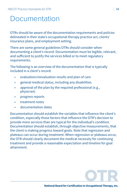## Documentation

OTRs should be aware of the documentation requirements and policies delineated in their state's occupational therapy practice act, clients' insurance plans, and employment setting.

There are some general guidelines OTRs should consider when documenting a client's record. Documentation must be legible, relevant, and sufficient to justify the services billed or to meet regulatory requirements.

The following is an overview of the documentation that is typically included in a client's record:

- evaluation/reevaluation results and plan of care
- general medical status, including any disabilities
- approval of the plan by the required professional (e.g., physician)
- progress reports
- treatment notes
- documentation dates

Documentation should establish the variables that influence the client's condition, especially those factors that influence the OTR's decision to provide more services than are typical for the individual's condition. Documentation should establish, through objective measurements, that the client is making progress toward goals. Note that regression and plateaus can occur during treatment. When regression or plateaus occur, the OTR should clearly document the medical necessity for continuing treatment and provide a reasonable expectation and timeline for goal attainment.

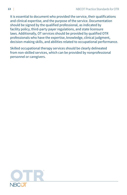It is essential to document who provided the service, their qualifications and clinical expertise, and the purpose of the service. Documentation should be signed by the qualified professional, as indicated by facility policy, third-party payer regulations, and state licensure laws. Additionally, OT services should be provided by qualified OTR professionals who have the expertise, knowledge, clinical judgment, decision-making skills, and abilities related to occupational performance.

Skilled occupational therapy services should be clearly delineated from non-skilled services, which can be provided by nonprofessional personnel or caregivers.

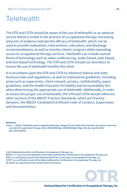## **Telehealth**

The OTR and COTA should be aware of the use of telehealth as an optional service delivery model in the practice of occupational therapy. Increasing amounts of evidence indicate the efficacy of telehealth, which can be used to provide evaluations, interventions, education, and discharge recommendations, as well as monitor clients' progress while expanding access to occupational therapy services. Telehealth can include several forms of technology such as video conferencing, audio-based, web-based, and text-based technology. The OTR and COTA should use discretion to ensure the use of telehealth benefits the client.

It is incumbent upon the OTR and COTA to reference federal and state licensure laws and regulations, as well as institutional guidelines, including areas such as supervision, client consent, privacy, confidentiality, payor guidelines, and the Health Insurance Portability and Accountability Act, when determining the appropriate use of telehealth. Additionally, in order to ensure the proper use of telehealth, the OTR and COTA should reference other sections of the NBCOT Practice Standards, which are Practice Domains, the NBCOT Candidate/Certificant Code of Conduct, Supervision, and Documentation.

#### **Reference**

**Cason, J. (2015). Telehealth and occupational therapy: Integral to the Triple Aim of health care reform.** *American Journal of Occupational Therapy, 69***(2), 6902090010p1–692090010p8. [https://dx.doi.org/10.5014/](https://dx.doi.org/10.5014/ajot.2015.692003) [ajot.2015.692003](https://dx.doi.org/10.5014/ajot.2015.692003)**

**©2021 National Board for Certification in Occupational Therapy, Inc.** 

**NBCOT® is a service and trademark of the National Board for Certification in Occupational Therapy, Inc. OTR® is a certification mark of the National Board for Certification in Occupational Therapy, Inc. COTA® is a certification mark of the National Board for Certification in Occupational Therapy, Inc. All marks are registered in the United States of America.** 



**National Board for Certification in Occupational Therapy, Inc.**